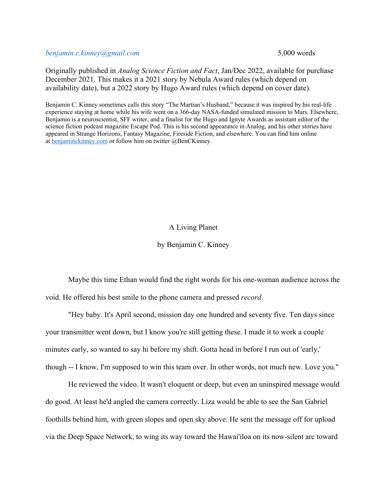*benjamin.c.kinney@gmail.com* 5,000 words

Originally published in *Analog Science Fiction and Fact*, Jan/Dec 2022, available for purchase December 2021. This makes it a 2021 story by Nebula Award rules (which depend on availability date), but a 2022 story by Hugo Award rules (which depend on cover date).

Benjamin C. Kinney sometimes calls this story "The Martian's Husband," because it was inspired by his real-life experience staying at home while his wife went on a 366-day NASA-funded simulated mission to Mars. Elsewhere, Benjamin is a neuroscientist, SFF writer, and a finalist for the Hugo and Ignyte Awards as assistant editor of the science fiction podcast magazine Escape Pod. This is his second appearance in Analog, and his other stories have appeared in Strange Horizons, Fantasy Magazine, Fireside Fiction, and elsewhere. You can find him online at benjaminckinney.com or follow him on twitter @BenCKinney.

## A Living Planet

## by Benjamin C. Kinney

Maybe this time Ethan would find the right words for his one-woman audience across the void. He offered his best smile to the phone camera and pressed *record*.

"Hey baby. It's April second, mission day one hundred and seventy five. Ten days since your transmitter went down, but I know you're still getting these. I made it to work a couple minutes early, so wanted to say hi before my shift. Gotta head in before I run out of 'early,' though -- I know, I'm supposed to win this team over. In other words, not much new. Love you."

He reviewed the video. It wasn't eloquent or deep, but even an uninspired message would do good. At least he'd angled the camera correctly. Liza would be able to see the San Gabriel foothills behind him, with green slopes and open sky above. He sent the message off for upload via the Deep Space Network, to wing its way toward the Hawai'iloa on its now-silent arc toward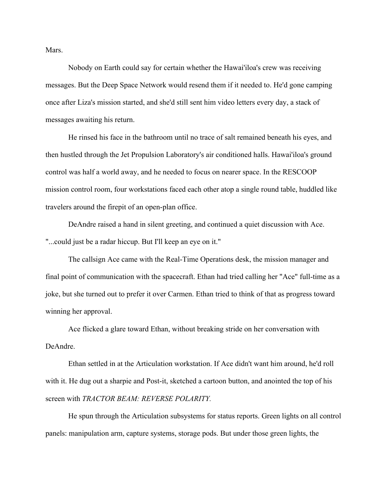Mars.

Nobody on Earth could say for certain whether the Hawai'iloa's crew was receiving messages. But the Deep Space Network would resend them if it needed to. He'd gone camping once after Liza's mission started, and she'd still sent him video letters every day, a stack of messages awaiting his return.

He rinsed his face in the bathroom until no trace of salt remained beneath his eyes, and then hustled through the Jet Propulsion Laboratory's air conditioned halls. Hawai'iloa's ground control was half a world away, and he needed to focus on nearer space. In the RESCOOP mission control room, four workstations faced each other atop a single round table, huddled like travelers around the firepit of an open-plan office.

DeAndre raised a hand in silent greeting, and continued a quiet discussion with Ace. "...could just be a radar hiccup. But I'll keep an eye on it."

The callsign Ace came with the Real-Time Operations desk, the mission manager and final point of communication with the spacecraft. Ethan had tried calling her "Ace" full-time as a joke, but she turned out to prefer it over Carmen. Ethan tried to think of that as progress toward winning her approval.

Ace flicked a glare toward Ethan, without breaking stride on her conversation with DeAndre.

Ethan settled in at the Articulation workstation. If Ace didn't want him around, he'd roll with it. He dug out a sharpie and Post-it, sketched a cartoon button, and anointed the top of his screen with *TRACTOR BEAM: REVERSE POLARITY.*

He spun through the Articulation subsystems for status reports. Green lights on all control panels: manipulation arm, capture systems, storage pods. But under those green lights, the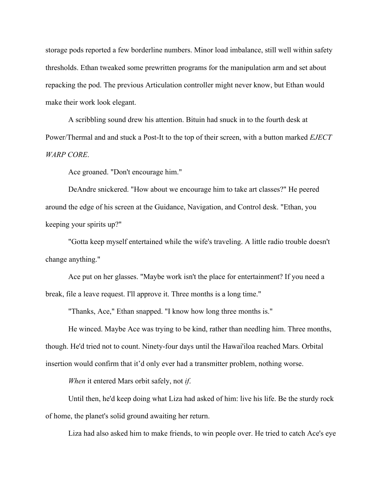storage pods reported a few borderline numbers. Minor load imbalance, still well within safety thresholds. Ethan tweaked some prewritten programs for the manipulation arm and set about repacking the pod. The previous Articulation controller might never know, but Ethan would make their work look elegant.

A scribbling sound drew his attention. Bituin had snuck in to the fourth desk at Power/Thermal and and stuck a Post-It to the top of their screen, with a button marked *EJECT WARP CORE*.

Ace groaned. "Don't encourage him."

DeAndre snickered. "How about we encourage him to take art classes?" He peered around the edge of his screen at the Guidance, Navigation, and Control desk. "Ethan, you keeping your spirits up?"

"Gotta keep myself entertained while the wife's traveling. A little radio trouble doesn't change anything."

Ace put on her glasses. "Maybe work isn't the place for entertainment? If you need a break, file a leave request. I'll approve it. Three months is a long time."

"Thanks, Ace," Ethan snapped. "I know how long three months is."

He winced. Maybe Ace was trying to be kind, rather than needling him. Three months, though. He'd tried not to count. Ninety-four days until the Hawai'iloa reached Mars. Orbital insertion would confirm that it'd only ever had a transmitter problem, nothing worse.

*When* it entered Mars orbit safely, not *if*.

Until then, he'd keep doing what Liza had asked of him: live his life. Be the sturdy rock of home, the planet's solid ground awaiting her return.

Liza had also asked him to make friends, to win people over. He tried to catch Ace's eye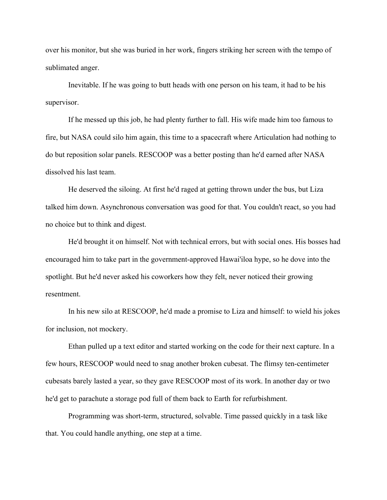over his monitor, but she was buried in her work, fingers striking her screen with the tempo of sublimated anger.

Inevitable. If he was going to butt heads with one person on his team, it had to be his supervisor.

If he messed up this job, he had plenty further to fall. His wife made him too famous to fire, but NASA could silo him again, this time to a spacecraft where Articulation had nothing to do but reposition solar panels. RESCOOP was a better posting than he'd earned after NASA dissolved his last team.

He deserved the siloing. At first he'd raged at getting thrown under the bus, but Liza talked him down. Asynchronous conversation was good for that. You couldn't react, so you had no choice but to think and digest.

He'd brought it on himself. Not with technical errors, but with social ones. His bosses had encouraged him to take part in the government-approved Hawai'iloa hype, so he dove into the spotlight. But he'd never asked his coworkers how they felt, never noticed their growing resentment.

In his new silo at RESCOOP, he'd made a promise to Liza and himself: to wield his jokes for inclusion, not mockery.

Ethan pulled up a text editor and started working on the code for their next capture. In a few hours, RESCOOP would need to snag another broken cubesat. The flimsy ten-centimeter cubesats barely lasted a year, so they gave RESCOOP most of its work. In another day or two he'd get to parachute a storage pod full of them back to Earth for refurbishment.

Programming was short-term, structured, solvable. Time passed quickly in a task like that. You could handle anything, one step at a time.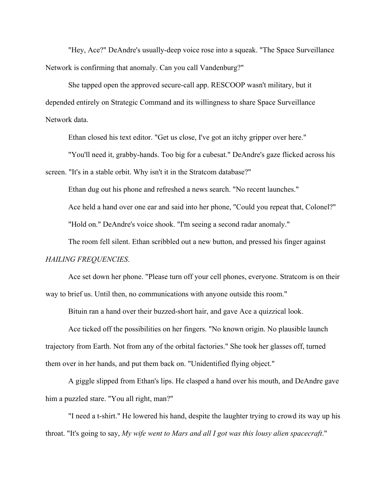"Hey, Ace?" DeAndre's usually-deep voice rose into a squeak. "The Space Surveillance Network is confirming that anomaly. Can you call Vandenburg?"

She tapped open the approved secure-call app. RESCOOP wasn't military, but it depended entirely on Strategic Command and its willingness to share Space Surveillance Network data.

Ethan closed his text editor. "Get us close, I've got an itchy gripper over here."

"You'll need it, grabby-hands. Too big for a cubesat." DeAndre's gaze flicked across his

screen. "It's in a stable orbit. Why isn't it in the Stratcom database?"

Ethan dug out his phone and refreshed a news search. "No recent launches."

Ace held a hand over one ear and said into her phone, "Could you repeat that, Colonel?"

"Hold on." DeAndre's voice shook. "I'm seeing a second radar anomaly."

The room fell silent. Ethan scribbled out a new button, and pressed his finger against

## *HAILING FREQUENCIES*.

Ace set down her phone. "Please turn off your cell phones, everyone. Stratcom is on their way to brief us. Until then, no communications with anyone outside this room."

Bituin ran a hand over their buzzed-short hair, and gave Ace a quizzical look.

Ace ticked off the possibilities on her fingers. "No known origin. No plausible launch trajectory from Earth. Not from any of the orbital factories." She took her glasses off, turned them over in her hands, and put them back on. "Unidentified flying object."

A giggle slipped from Ethan's lips. He clasped a hand over his mouth, and DeAndre gave him a puzzled stare. "You all right, man?"

"I need a t-shirt." He lowered his hand, despite the laughter trying to crowd its way up his throat. "It's going to say, *My wife went to Mars and all I got was this lousy alien spacecraft*."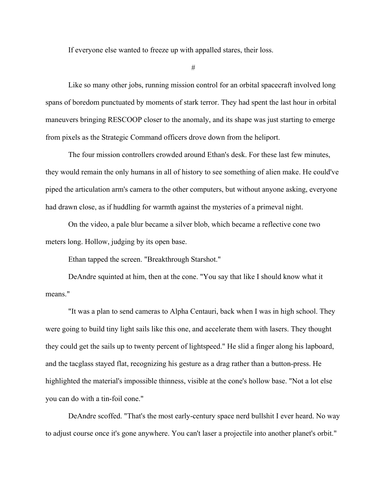If everyone else wanted to freeze up with appalled stares, their loss.

#

Like so many other jobs, running mission control for an orbital spacecraft involved long spans of boredom punctuated by moments of stark terror. They had spent the last hour in orbital maneuvers bringing RESCOOP closer to the anomaly, and its shape was just starting to emerge from pixels as the Strategic Command officers drove down from the heliport.

The four mission controllers crowded around Ethan's desk. For these last few minutes, they would remain the only humans in all of history to see something of alien make. He could've piped the articulation arm's camera to the other computers, but without anyone asking, everyone had drawn close, as if huddling for warmth against the mysteries of a primeval night.

On the video, a pale blur became a silver blob, which became a reflective cone two meters long. Hollow, judging by its open base.

Ethan tapped the screen. "Breakthrough Starshot."

DeAndre squinted at him, then at the cone. "You say that like I should know what it means."

"It was a plan to send cameras to Alpha Centauri, back when I was in high school. They were going to build tiny light sails like this one, and accelerate them with lasers. They thought they could get the sails up to twenty percent of lightspeed." He slid a finger along his lapboard, and the tacglass stayed flat, recognizing his gesture as a drag rather than a button-press. He highlighted the material's impossible thinness, visible at the cone's hollow base. "Not a lot else you can do with a tin-foil cone."

DeAndre scoffed. "That's the most early-century space nerd bullshit I ever heard. No way to adjust course once it's gone anywhere. You can't laser a projectile into another planet's orbit."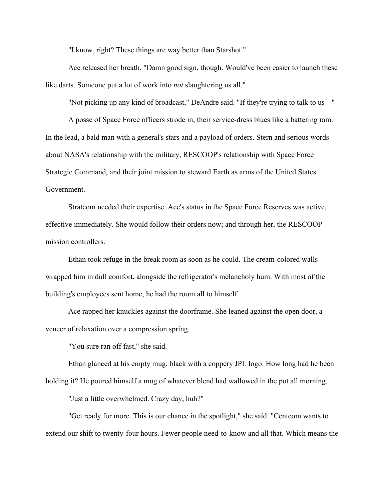"I know, right? These things are way better than Starshot."

Ace released her breath. "Damn good sign, though. Would've been easier to launch these like darts. Someone put a lot of work into *not* slaughtering us all."

"Not picking up any kind of broadcast," DeAndre said. "If they're trying to talk to us --"

A posse of Space Force officers strode in, their service-dress blues like a battering ram. In the lead, a bald man with a general's stars and a payload of orders. Stern and serious words about NASA's relationship with the military, RESCOOP's relationship with Space Force Strategic Command, and their joint mission to steward Earth as arms of the United States Government.

Stratcom needed their expertise. Ace's status in the Space Force Reserves was active, effective immediately. She would follow their orders now; and through her, the RESCOOP mission controllers.

Ethan took refuge in the break room as soon as he could. The cream-colored walls wrapped him in dull comfort, alongside the refrigerator's melancholy hum. With most of the building's employees sent home, he had the room all to himself.

Ace rapped her knuckles against the doorframe. She leaned against the open door, a veneer of relaxation over a compression spring.

"You sure ran off fast," she said.

Ethan glanced at his empty mug, black with a coppery JPL logo. How long had he been holding it? He poured himself a mug of whatever blend had wallowed in the pot all morning.

"Just a little overwhelmed. Crazy day, huh?"

"Get ready for more. This is our chance in the spotlight," she said. "Centcom wants to extend our shift to twenty-four hours. Fewer people need-to-know and all that. Which means the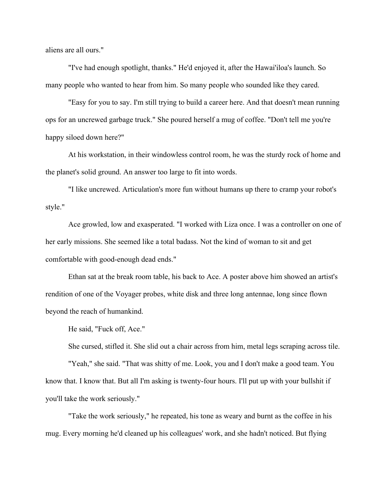aliens are all ours."

"I've had enough spotlight, thanks." He'd enjoyed it, after the Hawai'iloa's launch. So many people who wanted to hear from him. So many people who sounded like they cared.

"Easy for you to say. I'm still trying to build a career here. And that doesn't mean running ops for an uncrewed garbage truck." She poured herself a mug of coffee. "Don't tell me you're happy siloed down here?"

At his workstation, in their windowless control room, he was the sturdy rock of home and the planet's solid ground. An answer too large to fit into words.

"I like uncrewed. Articulation's more fun without humans up there to cramp your robot's style."

Ace growled, low and exasperated. "I worked with Liza once. I was a controller on one of her early missions. She seemed like a total badass. Not the kind of woman to sit and get comfortable with good-enough dead ends."

Ethan sat at the break room table, his back to Ace. A poster above him showed an artist's rendition of one of the Voyager probes, white disk and three long antennae, long since flown beyond the reach of humankind.

He said, "Fuck off, Ace."

She cursed, stifled it. She slid out a chair across from him, metal legs scraping across tile.

"Yeah," she said. "That was shitty of me. Look, you and I don't make a good team. You know that. I know that. But all I'm asking is twenty-four hours. I'll put up with your bullshit if you'll take the work seriously."

"Take the work seriously," he repeated, his tone as weary and burnt as the coffee in his mug. Every morning he'd cleaned up his colleagues' work, and she hadn't noticed. But flying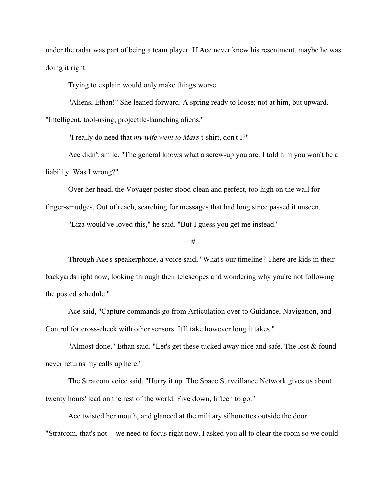under the radar was part of being a team player. If Ace never knew his resentment, maybe he was doing it right.

Trying to explain would only make things worse.

"Aliens, Ethan!" She leaned forward. A spring ready to loose; not at him, but upward.

"Intelligent, tool-using, projectile-launching aliens."

"I really do need that *my wife went to Mars* t-shirt, don't I?"

Ace didn't smile. "The general knows what a screw-up you are. I told him you won't be a liability. Was I wrong?"

Over her head, the Voyager poster stood clean and perfect, too high on the wall for finger-smudges. Out of reach, searching for messages that had long since passed it unseen.

"Liza would've loved this," he said. "But I guess you get me instead."

#

Through Ace's speakerphone, a voice said, "What's our timeline? There are kids in their backyards right now, looking through their telescopes and wondering why you're not following the posted schedule."

Ace said, "Capture commands go from Articulation over to Guidance, Navigation, and Control for cross-check with other sensors. It'll take however long it takes."

"Almost done," Ethan said. "Let's get these tucked away nice and safe. The lost & found never returns my calls up here."

The Stratcom voice said, "Hurry it up. The Space Surveillance Network gives us about twenty hours' lead on the rest of the world. Five down, fifteen to go."

Ace twisted her mouth, and glanced at the military silhouettes outside the door. "Stratcom, that's not -- we need to focus right now. I asked you all to clear the room so we could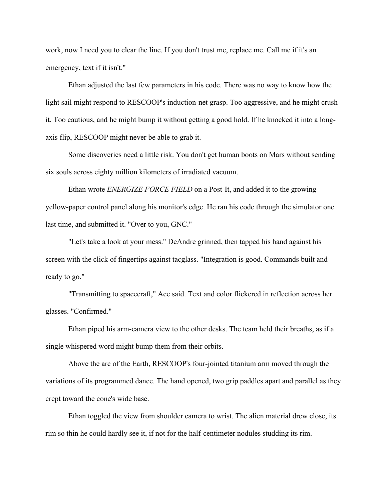work, now I need you to clear the line. If you don't trust me, replace me. Call me if it's an emergency, text if it isn't."

Ethan adjusted the last few parameters in his code. There was no way to know how the light sail might respond to RESCOOP's induction-net grasp. Too aggressive, and he might crush it. Too cautious, and he might bump it without getting a good hold. If he knocked it into a longaxis flip, RESCOOP might never be able to grab it.

Some discoveries need a little risk. You don't get human boots on Mars without sending six souls across eighty million kilometers of irradiated vacuum.

Ethan wrote *ENERGIZE FORCE FIELD* on a Post-It, and added it to the growing yellow-paper control panel along his monitor's edge. He ran his code through the simulator one last time, and submitted it. "Over to you, GNC."

"Let's take a look at your mess." DeAndre grinned, then tapped his hand against his screen with the click of fingertips against tacglass. "Integration is good. Commands built and ready to go."

"Transmitting to spacecraft," Ace said. Text and color flickered in reflection across her glasses. "Confirmed."

Ethan piped his arm-camera view to the other desks. The team held their breaths, as if a single whispered word might bump them from their orbits.

Above the arc of the Earth, RESCOOP's four-jointed titanium arm moved through the variations of its programmed dance. The hand opened, two grip paddles apart and parallel as they crept toward the cone's wide base.

Ethan toggled the view from shoulder camera to wrist. The alien material drew close, its rim so thin he could hardly see it, if not for the half-centimeter nodules studding its rim.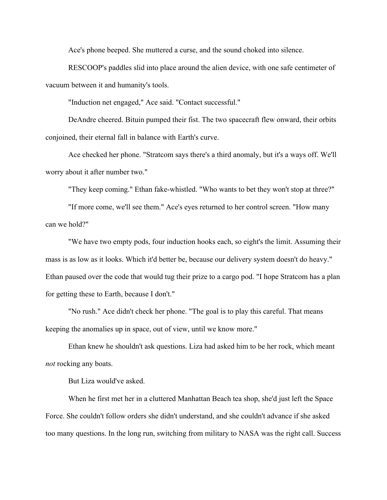Ace's phone beeped. She muttered a curse, and the sound choked into silence.

RESCOOP's paddles slid into place around the alien device, with one safe centimeter of vacuum between it and humanity's tools.

"Induction net engaged," Ace said. "Contact successful."

DeAndre cheered. Bituin pumped their fist. The two spacecraft flew onward, their orbits conjoined, their eternal fall in balance with Earth's curve.

Ace checked her phone. "Stratcom says there's a third anomaly, but it's a ways off. We'll worry about it after number two."

"They keep coming." Ethan fake-whistled. "Who wants to bet they won't stop at three?"

"If more come, we'll see them." Ace's eyes returned to her control screen. "How many can we hold?"

"We have two empty pods, four induction hooks each, so eight's the limit. Assuming their mass is as low as it looks. Which it'd better be, because our delivery system doesn't do heavy." Ethan paused over the code that would tug their prize to a cargo pod. "I hope Stratcom has a plan for getting these to Earth, because I don't."

"No rush." Ace didn't check her phone. "The goal is to play this careful. That means keeping the anomalies up in space, out of view, until we know more."

Ethan knew he shouldn't ask questions. Liza had asked him to be her rock, which meant *not* rocking any boats.

But Liza would've asked.

When he first met her in a cluttered Manhattan Beach tea shop, she'd just left the Space Force. She couldn't follow orders she didn't understand, and she couldn't advance if she asked too many questions. In the long run, switching from military to NASA was the right call. Success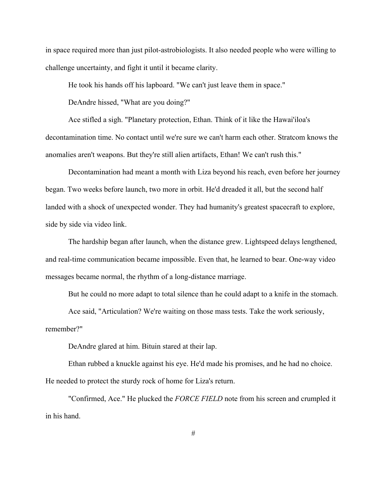in space required more than just pilot-astrobiologists. It also needed people who were willing to challenge uncertainty, and fight it until it became clarity.

He took his hands off his lapboard. "We can't just leave them in space."

DeAndre hissed, "What are you doing?"

Ace stifled a sigh. "Planetary protection, Ethan. Think of it like the Hawai'iloa's decontamination time. No contact until we're sure we can't harm each other. Stratcom knows the anomalies aren't weapons. But they're still alien artifacts, Ethan! We can't rush this."

Decontamination had meant a month with Liza beyond his reach, even before her journey began. Two weeks before launch, two more in orbit. He'd dreaded it all, but the second half landed with a shock of unexpected wonder. They had humanity's greatest spacecraft to explore, side by side via video link.

The hardship began after launch, when the distance grew. Lightspeed delays lengthened, and real-time communication became impossible. Even that, he learned to bear. One-way video messages became normal, the rhythm of a long-distance marriage.

But he could no more adapt to total silence than he could adapt to a knife in the stomach.

Ace said, "Articulation? We're waiting on those mass tests. Take the work seriously, remember?"

DeAndre glared at him. Bituin stared at their lap.

Ethan rubbed a knuckle against his eye. He'd made his promises, and he had no choice. He needed to protect the sturdy rock of home for Liza's return.

"Confirmed, Ace." He plucked the *FORCE FIELD* note from his screen and crumpled it in his hand.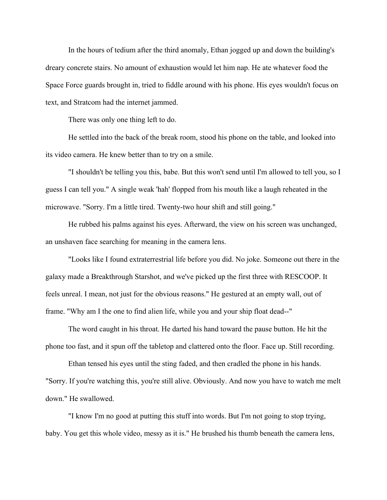In the hours of tedium after the third anomaly, Ethan jogged up and down the building's dreary concrete stairs. No amount of exhaustion would let him nap. He ate whatever food the Space Force guards brought in, tried to fiddle around with his phone. His eyes wouldn't focus on text, and Stratcom had the internet jammed.

There was only one thing left to do.

He settled into the back of the break room, stood his phone on the table, and looked into its video camera. He knew better than to try on a smile.

"I shouldn't be telling you this, babe. But this won't send until I'm allowed to tell you, so I guess I can tell you." A single weak 'hah' flopped from his mouth like a laugh reheated in the microwave. "Sorry. I'm a little tired. Twenty-two hour shift and still going."

He rubbed his palms against his eyes. Afterward, the view on his screen was unchanged, an unshaven face searching for meaning in the camera lens.

"Looks like I found extraterrestrial life before you did. No joke. Someone out there in the galaxy made a Breakthrough Starshot, and we've picked up the first three with RESCOOP. It feels unreal. I mean, not just for the obvious reasons." He gestured at an empty wall, out of frame. "Why am I the one to find alien life, while you and your ship float dead--"

The word caught in his throat. He darted his hand toward the pause button. He hit the phone too fast, and it spun off the tabletop and clattered onto the floor. Face up. Still recording.

Ethan tensed his eyes until the sting faded, and then cradled the phone in his hands. "Sorry. If you're watching this, you're still alive. Obviously. And now you have to watch me melt down." He swallowed.

"I know I'm no good at putting this stuff into words. But I'm not going to stop trying, baby. You get this whole video, messy as it is." He brushed his thumb beneath the camera lens,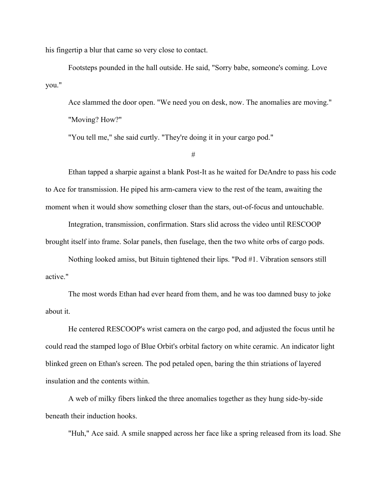his fingertip a blur that came so very close to contact.

Footsteps pounded in the hall outside. He said, "Sorry babe, someone's coming. Love you."

Ace slammed the door open. "We need you on desk, now. The anomalies are moving." "Moving? How?"

"You tell me," she said curtly. "They're doing it in your cargo pod."

#

Ethan tapped a sharpie against a blank Post-It as he waited for DeAndre to pass his code to Ace for transmission. He piped his arm-camera view to the rest of the team, awaiting the moment when it would show something closer than the stars, out-of-focus and untouchable.

Integration, transmission, confirmation. Stars slid across the video until RESCOOP brought itself into frame. Solar panels, then fuselage, then the two white orbs of cargo pods.

Nothing looked amiss, but Bituin tightened their lips. "Pod #1. Vibration sensors still active."

The most words Ethan had ever heard from them, and he was too damned busy to joke about it.

He centered RESCOOP's wrist camera on the cargo pod, and adjusted the focus until he could read the stamped logo of Blue Orbit's orbital factory on white ceramic. An indicator light blinked green on Ethan's screen. The pod petaled open, baring the thin striations of layered insulation and the contents within.

A web of milky fibers linked the three anomalies together as they hung side-by-side beneath their induction hooks.

"Huh," Ace said. A smile snapped across her face like a spring released from its load. She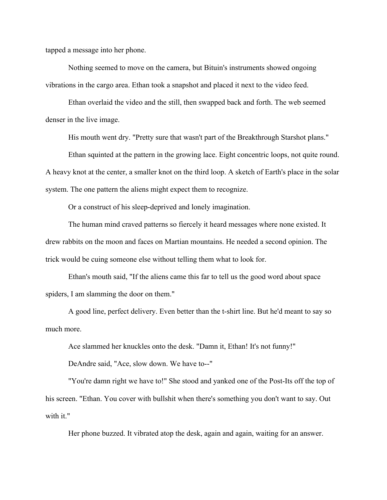tapped a message into her phone.

Nothing seemed to move on the camera, but Bituin's instruments showed ongoing vibrations in the cargo area. Ethan took a snapshot and placed it next to the video feed.

Ethan overlaid the video and the still, then swapped back and forth. The web seemed denser in the live image.

His mouth went dry. "Pretty sure that wasn't part of the Breakthrough Starshot plans."

Ethan squinted at the pattern in the growing lace. Eight concentric loops, not quite round. A heavy knot at the center, a smaller knot on the third loop. A sketch of Earth's place in the solar system. The one pattern the aliens might expect them to recognize.

Or a construct of his sleep-deprived and lonely imagination.

The human mind craved patterns so fiercely it heard messages where none existed. It drew rabbits on the moon and faces on Martian mountains. He needed a second opinion. The trick would be cuing someone else without telling them what to look for.

Ethan's mouth said, "If the aliens came this far to tell us the good word about space spiders, I am slamming the door on them."

A good line, perfect delivery. Even better than the t-shirt line. But he'd meant to say so much more.

Ace slammed her knuckles onto the desk. "Damn it, Ethan! It's not funny!"

DeAndre said, "Ace, slow down. We have to--"

"You're damn right we have to!" She stood and yanked one of the Post-Its off the top of his screen. "Ethan. You cover with bullshit when there's something you don't want to say. Out with it."

Her phone buzzed. It vibrated atop the desk, again and again, waiting for an answer.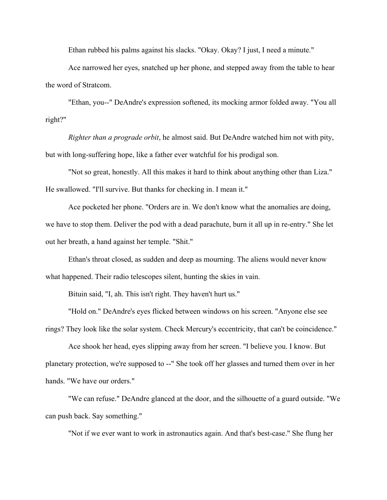Ethan rubbed his palms against his slacks. "Okay. Okay? I just, I need a minute."

Ace narrowed her eyes, snatched up her phone, and stepped away from the table to hear the word of Stratcom.

"Ethan, you--" DeAndre's expression softened, its mocking armor folded away. "You all right?"

*Righter than a prograde orbit*, he almost said. But DeAndre watched him not with pity, but with long-suffering hope, like a father ever watchful for his prodigal son.

"Not so great, honestly. All this makes it hard to think about anything other than Liza." He swallowed. "I'll survive. But thanks for checking in. I mean it."

Ace pocketed her phone. "Orders are in. We don't know what the anomalies are doing, we have to stop them. Deliver the pod with a dead parachute, burn it all up in re-entry." She let out her breath, a hand against her temple. "Shit."

Ethan's throat closed, as sudden and deep as mourning. The aliens would never know what happened. Their radio telescopes silent, hunting the skies in vain.

Bituin said, "I, ah. This isn't right. They haven't hurt us."

"Hold on." DeAndre's eyes flicked between windows on his screen. "Anyone else see rings? They look like the solar system. Check Mercury's eccentricity, that can't be coincidence."

Ace shook her head, eyes slipping away from her screen. "I believe you. I know. But planetary protection, we're supposed to --" She took off her glasses and turned them over in her hands. "We have our orders."

"We can refuse." DeAndre glanced at the door, and the silhouette of a guard outside. "We can push back. Say something."

"Not if we ever want to work in astronautics again. And that's best-case." She flung her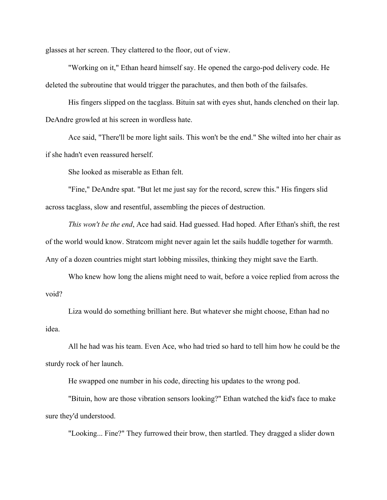glasses at her screen. They clattered to the floor, out of view.

"Working on it," Ethan heard himself say. He opened the cargo-pod delivery code. He deleted the subroutine that would trigger the parachutes, and then both of the failsafes.

His fingers slipped on the tacglass. Bituin sat with eyes shut, hands clenched on their lap. DeAndre growled at his screen in wordless hate.

Ace said, "There'll be more light sails. This won't be the end." She wilted into her chair as if she hadn't even reassured herself.

She looked as miserable as Ethan felt.

"Fine," DeAndre spat. "But let me just say for the record, screw this." His fingers slid across tacglass, slow and resentful, assembling the pieces of destruction.

*This won't be the end*, Ace had said. Had guessed. Had hoped. After Ethan's shift, the rest of the world would know. Stratcom might never again let the sails huddle together for warmth. Any of a dozen countries might start lobbing missiles, thinking they might save the Earth.

Who knew how long the aliens might need to wait, before a voice replied from across the void?

Liza would do something brilliant here. But whatever she might choose, Ethan had no idea.

All he had was his team. Even Ace, who had tried so hard to tell him how he could be the sturdy rock of her launch.

He swapped one number in his code, directing his updates to the wrong pod.

"Bituin, how are those vibration sensors looking?" Ethan watched the kid's face to make sure they'd understood.

"Looking... Fine?" They furrowed their brow, then startled. They dragged a slider down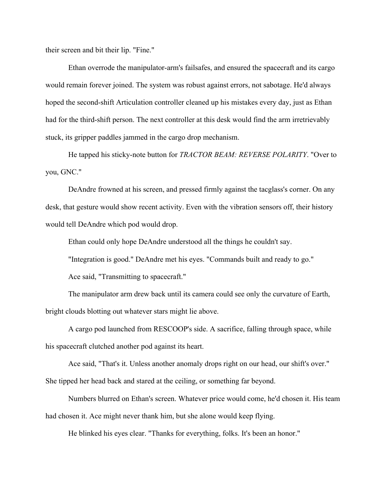their screen and bit their lip. "Fine."

Ethan overrode the manipulator-arm's failsafes, and ensured the spacecraft and its cargo would remain forever joined. The system was robust against errors, not sabotage. He'd always hoped the second-shift Articulation controller cleaned up his mistakes every day, just as Ethan had for the third-shift person. The next controller at this desk would find the arm irretrievably stuck, its gripper paddles jammed in the cargo drop mechanism.

He tapped his sticky-note button for *TRACTOR BEAM: REVERSE POLARITY*. "Over to you, GNC."

DeAndre frowned at his screen, and pressed firmly against the tacglass's corner. On any desk, that gesture would show recent activity. Even with the vibration sensors off, their history would tell DeAndre which pod would drop.

Ethan could only hope DeAndre understood all the things he couldn't say.

"Integration is good." DeAndre met his eyes. "Commands built and ready to go."

Ace said, "Transmitting to spacecraft."

The manipulator arm drew back until its camera could see only the curvature of Earth, bright clouds blotting out whatever stars might lie above.

A cargo pod launched from RESCOOP's side. A sacrifice, falling through space, while his spacecraft clutched another pod against its heart.

Ace said, "That's it. Unless another anomaly drops right on our head, our shift's over." She tipped her head back and stared at the ceiling, or something far beyond.

Numbers blurred on Ethan's screen. Whatever price would come, he'd chosen it. His team had chosen it. Ace might never thank him, but she alone would keep flying.

He blinked his eyes clear. "Thanks for everything, folks. It's been an honor."